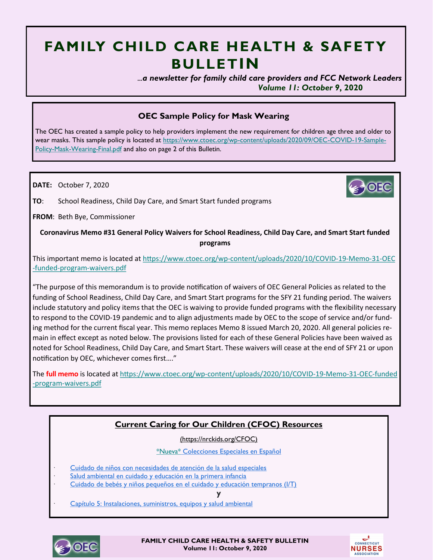# **FAMILY CHILD CARE HEALTH & SAFETY BULLETIN**

 *...a newsletter for family child care providers and FCC Network Leaders Volume 11: October 9***, 2020**

# **OEC Sample Policy for Mask Wearing**

The OEC has created a sample policy to help providers implement the new requirement for children age three and older to wear masks. This sample policy is located at [https://www.ctoec.org/wp-content/uploads/2020/09/OEC-COVID-19-Sample-](https://www.ctoec.org/wp-content/uploads/2020/09/OEC-COVID-19-Sample-Policy-Mask-Wearing-Final.pdf)[Policy-Mask-Wearing-Final.pdf](https://www.ctoec.org/wp-content/uploads/2020/09/OEC-COVID-19-Sample-Policy-Mask-Wearing-Final.pdf) and also on page 2 of this Bulletin.

**DATE:** October 7, 2020

**TO**: School Readiness, Child Day Care, and Smart Start funded programs

**FROM**: Beth Bye, Commissioner

**Coronavirus Memo #31 General Policy Waivers for School Readiness, Child Day Care, and Smart Start funded programs**

This important memo is located at https://www.ctoec.org/wp-[content/uploads/2020/10/COVID](https://www.ctoec.org/wp-content/uploads/2020/10/COVID-19-Memo-31-OEC-funded-program-waivers.pdf)-19-Memo-31-OEC -funded-program-[waivers.pdf](https://www.ctoec.org/wp-content/uploads/2020/10/COVID-19-Memo-31-OEC-funded-program-waivers.pdf)

"The purpose of this memorandum is to provide notification of waivers of OEC General Policies as related to the funding of School Readiness, Child Day Care, and Smart Start programs for the SFY 21 funding period. The waivers include statutory and policy items that the OEC is waiving to provide funded programs with the flexibility necessary to respond to the COVID-19 pandemic and to align adjustments made by OEC to the scope of service and/or funding method for the current fiscal year. This memo replaces Memo 8 issued March 20, 2020. All general policies remain in effect except as noted below. The provisions listed for each of these General Policies have been waived as noted for School Readiness, Child Day Care, and Smart Start. These waivers will cease at the end of SFY 21 or upon notification by OEC, whichever comes first…."

The **full memo** is located at https://www.ctoec.org/wp-[content/uploads/2020/10/COVID](https://www.ctoec.org/wp-content/uploads/2020/10/COVID-19-Memo-31-OEC-funded-program-waivers.pdf)-19-Memo-31-OEC-funded -program-[waivers.pdf](https://www.ctoec.org/wp-content/uploads/2020/10/COVID-19-Memo-31-OEC-funded-program-waivers.pdf)

# **Current Caring for Our Children (CFOC) Resources**

(https://nrckids.org/CFOC)

\*Nueva\* [Colecciones Especiales en Español](https://nrckids.org/CFOC)

- [Cuidado de niños con necesidades de atención de la salud especiales](https://nrckids.org/files/Caring%20for%20Children%20with%20Special%20Health%20Care%20Needs_Spanish_Final.pdf)
- [Salud ambiental en cuidado y educación en la primera infancia](https://nrckids.org/files/Environmental%20Health%20in%20Early%20Care%20and%20Education_Spanish_Final.pdf)
- [Cuidado de bebés y niños pequeños en el cuidado y educación tempranos \(I/T\)](https://nrckids.org/files/Caring%20for%20Infants%20and%20Toddlers%20in%20Early%20Care%20and%20Education%20(I_T)_Spanish_Final.pdf)

**y**

[Capítulo 5: Instalaciones, suministros, equipos y salud ambiental](https://nrckids.org/files/CFOC-Capitulo5.pdf)